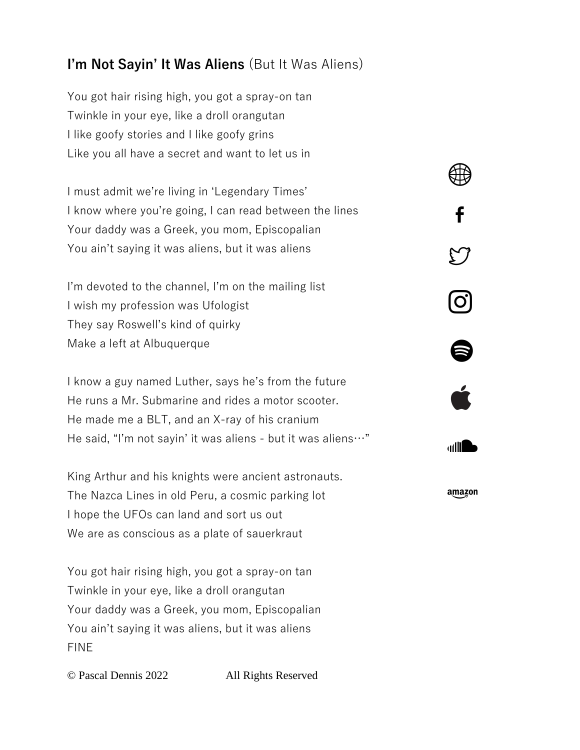## **I'm Not Sayin' It Was Aliens** (But It Was Aliens)

You got hair rising high, you got a spray-on tan Twinkle in your eye, like a droll orangutan I like goofy stories and I like goofy grins Like you all have a secret and want to let us in

I must admit we're living in 'Legendary Times' I know where you're going, I can read between the lines Your daddy was a Greek, you mom, Episcopalian You ain't saying it was aliens, but it was aliens

I'm devoted to the channel, I'm on the mailing list I wish my profession was Ufologist They say Roswell's kind of quirky Make a left at Albuquerque

I know a guy named Luther, says he's from the future He runs a Mr. Submarine and rides a motor scooter. He made me a BLT, and an X-ray of his cranium He said, "I'm not sayin' it was aliens - but it was aliens…"

King Arthur and his knights were ancient astronauts. The Nazca Lines in old Peru, a cosmic parking lot I hope the UFOs can land and sort us out We are as conscious as a plate of sauerkraut

You got hair rising high, you got a spray-on tan Twinkle in your eye, like a droll orangutan Your daddy was a Greek, you mom, Episcopalian You ain't saying it was aliens, but it was aliens FINE

© Pascal Dennis 2022 All Rights Reserved

<u>ල</u>

6

adli **D** 

amazon